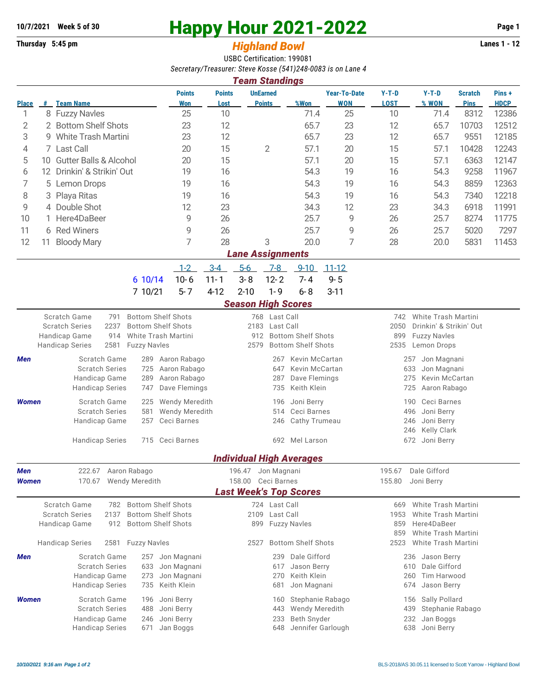## **10/7/2021** Week 5 of 30<br> **Happy Hour 2021-2022** Page 1<br> **Highland Rowl** Lanes 1 - 12

## **Thursday 5:45 pm** *Highland Bowl*

USBC Certification: 199081 *Secretary/Treasurer: Steve Kosse (541)248-0083 is on Lane 4 Team Standings*

|                                                                                                    |                               |                                                                                                           |                      |                            |                             |                                          |                                                | I cani ətaliyinyə                |                                          |                                         |                                          |                                                   |                               |                      |  |  |  |
|----------------------------------------------------------------------------------------------------|-------------------------------|-----------------------------------------------------------------------------------------------------------|----------------------|----------------------------|-----------------------------|------------------------------------------|------------------------------------------------|----------------------------------|------------------------------------------|-----------------------------------------|------------------------------------------|---------------------------------------------------|-------------------------------|----------------------|--|--|--|
| <b>Place</b>                                                                                       | #                             | <b>Team Name</b>                                                                                          |                      |                            | <b>Points</b><br><b>Won</b> | <b>Points</b><br>Lost                    |                                                | <b>UnEarned</b><br><b>Points</b> | %Won                                     | <b>Year-To-Date</b><br><b>WON</b>       | $Y-T-D$<br><b>LOST</b>                   | $Y-T-D$<br>% WON                                  | <b>Scratch</b><br><b>Pins</b> | Pins+<br><b>HDCP</b> |  |  |  |
| 1                                                                                                  |                               | 8 Fuzzy Navles                                                                                            |                      |                            | 25                          | 10                                       |                                                |                                  | 71.4                                     | 25                                      | 10                                       | 71.4                                              | 8312                          | 12386                |  |  |  |
| 2                                                                                                  |                               | 2 Bottom Shelf Shots                                                                                      |                      |                            | 23                          | 12                                       |                                                |                                  | 65.7                                     | 23                                      | 12                                       | 65.7                                              | 10703                         | 12512                |  |  |  |
| 3                                                                                                  |                               | 9 White Trash Martini                                                                                     |                      |                            | 23                          | 12                                       |                                                |                                  | 65.7                                     | 23                                      | 12                                       | 65.7                                              | 9551                          | 12185                |  |  |  |
| 4                                                                                                  |                               | 7 Last Call                                                                                               |                      |                            | 20                          | 15                                       |                                                | $\overline{2}$                   | 57.1                                     | 20                                      | 15                                       | 57.1                                              | 10428                         | 12243                |  |  |  |
| 5                                                                                                  |                               | 10 Gutter Balls & Alcohol                                                                                 |                      |                            | 20                          | 15                                       |                                                |                                  | 57.1                                     | 20                                      | 15                                       | 57.1                                              | 6363                          | 12147                |  |  |  |
| 6                                                                                                  |                               | 12 Drinkin' & Strikin' Out                                                                                |                      |                            | 19                          | 16                                       |                                                |                                  | 54.3                                     | 19                                      | 16                                       | 54.3                                              | 9258                          | 11967                |  |  |  |
| 7                                                                                                  |                               | 5 Lemon Drops                                                                                             |                      |                            | 19                          | 16                                       |                                                |                                  | 54.3                                     | 19                                      | 16                                       | 54.3                                              | 8859                          | 12363                |  |  |  |
| 8                                                                                                  |                               | 3 Playa Ritas                                                                                             |                      | 19                         | 16                          |                                          |                                                | 54.3                             | 19                                       | 16                                      | 54.3                                     | 7340                                              | 12218                         |                      |  |  |  |
| 9                                                                                                  |                               | 4 Double Shot                                                                                             |                      |                            | 12                          | 23                                       |                                                |                                  | 34.3                                     | 12                                      | 23                                       | 34.3                                              | 6918                          | 11991                |  |  |  |
| 10                                                                                                 |                               | Here4DaBeer                                                                                               |                      |                            | 9                           | 26                                       |                                                |                                  |                                          | 9                                       | 26                                       | 25.7                                              | 8274                          | 11775                |  |  |  |
| 11                                                                                                 |                               | 6 Red Winers                                                                                              |                      |                            | 9                           | 26                                       |                                                |                                  | 25.7                                     | 9                                       | 26                                       | 25.7                                              | 5020                          | 7297                 |  |  |  |
| 12                                                                                                 | 11                            | <b>Bloody Mary</b>                                                                                        |                      |                            | 7                           | 28                                       |                                                | 3                                | 20.0                                     | 7                                       | 28                                       | 20.0                                              | 5831                          | 11453                |  |  |  |
|                                                                                                    | <b>Lane Assignments</b>       |                                                                                                           |                      |                            |                             |                                          |                                                |                                  |                                          |                                         |                                          |                                                   |                               |                      |  |  |  |
|                                                                                                    |                               |                                                                                                           |                      |                            | $1 - 2$                     | $3 - 4$                                  | $5-6$                                          | $7 - 8$                          | $9 - 10$                                 | $11 - 12$                               |                                          |                                                   |                               |                      |  |  |  |
|                                                                                                    |                               |                                                                                                           |                      | 6 10/14                    | $10 - 6$                    | $11 - 1$                                 | $3 - 8$                                        | $12 - 2$                         | $7 - 4$                                  | $9 - 5$                                 |                                          |                                                   |                               |                      |  |  |  |
|                                                                                                    |                               |                                                                                                           |                      | 7 10/21                    | $5 - 7$                     | $4 - 12$                                 | $2 - 10$                                       | $1 - 9$                          | $6 - 8$                                  | $3 - 11$                                |                                          |                                                   |                               |                      |  |  |  |
|                                                                                                    | <b>Season High Scores</b>     |                                                                                                           |                      |                            |                             |                                          |                                                |                                  |                                          |                                         |                                          |                                                   |                               |                      |  |  |  |
|                                                                                                    |                               | Scratch Game                                                                                              | 791                  |                            | <b>Bottom Shelf Shots</b>   |                                          | 768 Last Call                                  |                                  |                                          |                                         | White Trash Martini<br>742               |                                                   |                               |                      |  |  |  |
|                                                                                                    |                               | <b>Scratch Series</b>                                                                                     | 2237                 |                            | <b>Bottom Shelf Shots</b>   |                                          | 2183<br>Last Call<br><b>Bottom Shelf Shots</b> |                                  |                                          |                                         | Drinkin' & Strikin' Out<br>2050          |                                                   |                               |                      |  |  |  |
|                                                                                                    |                               | White Trash Martini<br>Handicap Game<br>914<br><b>Handicap Series</b><br>2581<br><b>Fuzzy Navles</b>      |                      |                            |                             | 912<br><b>Bottom Shelf Shots</b><br>2579 |                                                |                                  |                                          |                                         |                                          | <b>Fuzzy Navles</b><br>899<br>2535<br>Lemon Drops |                               |                      |  |  |  |
|                                                                                                    |                               |                                                                                                           | Aaron Rabago         |                            | Kevin McCartan<br>267       |                                          |                                                |                                  |                                          |                                         |                                          |                                                   |                               |                      |  |  |  |
| <b>Scratch Game</b><br>Men<br>289<br><b>Scratch Series</b><br>725                                  |                               |                                                                                                           | Aaron Rabago         |                            | 647<br>Kevin McCartan       |                                          |                                                |                                  | Jon Magnani<br>257<br>633<br>Jon Magnani |                                         |                                          |                                                   |                               |                      |  |  |  |
|                                                                                                    | Handicap Game<br>289          |                                                                                                           |                      | Aaron Rabago               |                             |                                          | 287                                            | Dave Flemings                    |                                          | Kevin McCartan<br>275                   |                                          |                                                   |                               |                      |  |  |  |
|                                                                                                    |                               | <b>Handicap Series</b><br>747                                                                             |                      |                            | Dave Flemings               |                                          | Keith Klein<br>735                             |                                  |                                          |                                         | 725<br>Aaron Rabago                      |                                                   |                               |                      |  |  |  |
| <b>Women</b>                                                                                       |                               | Scratch Game<br>225                                                                                       |                      |                            | <b>Wendy Meredith</b>       |                                          |                                                | Joni Berry<br>196                |                                          |                                         | Ceci Barnes<br>190                       |                                                   |                               |                      |  |  |  |
|                                                                                                    |                               | <b>Scratch Series</b><br>581                                                                              |                      |                            |                             | Wendy Meredith                           |                                                |                                  | Ceci Barnes<br>514                       |                                         |                                          | 496<br>Joni Berry                                 |                               |                      |  |  |  |
|                                                                                                    |                               |                                                                                                           | Handicap Game<br>257 |                            |                             | Ceci Barnes                              |                                                |                                  | Cathy Trumeau<br>246                     |                                         |                                          | Joni Berry<br>246                                 |                               |                      |  |  |  |
|                                                                                                    | <b>Handicap Series</b><br>715 |                                                                                                           |                      | Ceci Barnes                |                             |                                          |                                                | 692 Mel Larson                   |                                          | Kelly Clark<br>246<br>672<br>Joni Berry |                                          |                                                   |                               |                      |  |  |  |
|                                                                                                    |                               |                                                                                                           |                      |                            |                             |                                          |                                                |                                  |                                          |                                         |                                          |                                                   |                               |                      |  |  |  |
|                                                                                                    |                               |                                                                                                           |                      |                            |                             |                                          |                                                |                                  | <b>Individual High Averages</b>          |                                         |                                          |                                                   |                               |                      |  |  |  |
| 222.67 Aaron Rabago<br>Men                                                                         |                               |                                                                                                           |                      |                            |                             |                                          | 196.47 Jon Magnani                             |                                  |                                          |                                         | 195.67                                   | Dale Gifford                                      |                               |                      |  |  |  |
| <b>Women</b>                                                                                       |                               | 170.67 Wendy Meredith                                                                                     |                      |                            |                             |                                          | 158.00 Ceci Barnes                             |                                  |                                          |                                         | 155.80<br>Joni Berry                     |                                                   |                               |                      |  |  |  |
| <b>Last Week's Top Scores</b><br><b>Bottom Shelf Shots</b><br>724 Last Call<br>White Trash Martini |                               |                                                                                                           |                      |                            |                             |                                          |                                                |                                  |                                          |                                         |                                          |                                                   |                               |                      |  |  |  |
|                                                                                                    |                               | Scratch Game<br>782<br><b>Scratch Series</b><br>2137<br><b>Bottom Shelf Shots</b><br>Handicap Game<br>912 |                      |                            |                             |                                          | 2109                                           | Last Call                        |                                          |                                         | 669<br>1953                              | White Trash Martini                               |                               |                      |  |  |  |
|                                                                                                    |                               |                                                                                                           |                      |                            | <b>Bottom Shelf Shots</b>   |                                          | 899<br><b>Fuzzy Navles</b>                     |                                  |                                          |                                         | 859                                      | Here4DaBeer                                       |                               |                      |  |  |  |
|                                                                                                    |                               |                                                                                                           |                      |                            |                             |                                          |                                                |                                  |                                          | 859<br>White Trash Martini              |                                          |                                                   |                               |                      |  |  |  |
|                                                                                                    |                               | <b>Handicap Series</b>                                                                                    | 2581                 | <b>Fuzzy Navles</b>        |                             |                                          | <b>Bottom Shelf Shots</b><br>2527              |                                  |                                          | 2523                                    |                                          | White Trash Martini                               |                               |                      |  |  |  |
| Men                                                                                                |                               | Scratch Game                                                                                              |                      | 257 Jon Magnani            |                             |                                          |                                                | Dale Gifford                     |                                          |                                         | Jason Berry<br>236                       |                                                   |                               |                      |  |  |  |
|                                                                                                    |                               | <b>Scratch Series</b><br>633                                                                              |                      | Jon Magnani                |                             |                                          |                                                | Jason Berry                      |                                          |                                         | Dale Gifford<br>610                      |                                                   |                               |                      |  |  |  |
|                                                                                                    |                               | Handicap Game<br>273<br><b>Handicap Series</b><br>735                                                     |                      | Jon Magnani<br>Keith Klein |                             |                                          | 270<br>681                                     | Keith Klein<br>Jon Magnani       |                                          |                                         | Tim Harwood<br>260<br>Jason Berry<br>674 |                                                   |                               |                      |  |  |  |
|                                                                                                    |                               |                                                                                                           |                      |                            |                             |                                          |                                                |                                  |                                          |                                         |                                          | Sally Pollard<br>156                              |                               |                      |  |  |  |
| <b>Women</b>                                                                                       |                               | <b>Scratch Game</b><br>196<br><b>Scratch Series</b><br>488                                                |                      |                            | Joni Berry<br>Joni Berry    |                                          |                                                | 160<br>443                       | Stephanie Rabago<br>Wendy Meredith       |                                         | 439                                      |                                                   |                               |                      |  |  |  |
|                                                                                                    |                               | Handicap Game                                                                                             |                      | 246                        | Joni Berry                  |                                          |                                                | 233                              | Beth Snyder                              |                                         |                                          | Stephanie Rabago<br>232<br>Jan Boggs              |                               |                      |  |  |  |
|                                                                                                    |                               | <b>Handicap Series</b>                                                                                    |                      | 671                        | Jan Boggs                   |                                          |                                                | 648                              | Jennifer Garlough                        |                                         |                                          | Joni Berry<br>638                                 |                               |                      |  |  |  |
|                                                                                                    |                               |                                                                                                           |                      |                            |                             |                                          |                                                |                                  |                                          |                                         |                                          |                                                   |                               |                      |  |  |  |